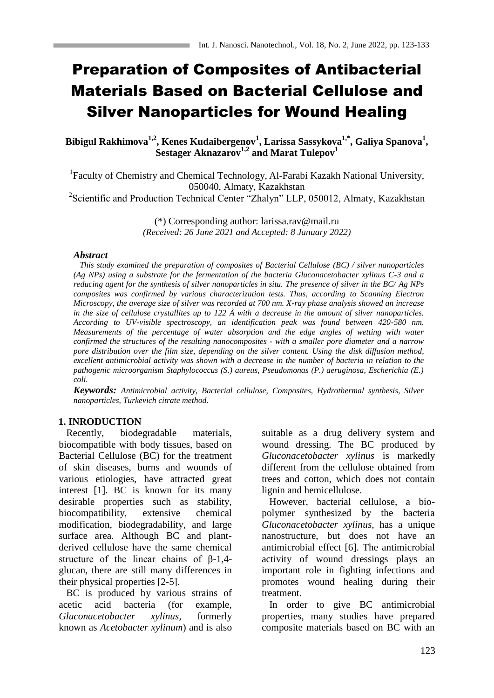# Preparation of Composites of Antibacterial Materials Based on Bacterial Cellulose and Silver Nanoparticles for Wound Healing

**Bibigul Rakhimova1,2, Kenes Kudaibergenov<sup>1</sup> , Larissa Sassykova1,\* , Galiya Spanova<sup>1</sup> , Sestager Aknazarov1,2 and Marat Tulepov<sup>1</sup>**

<sup>1</sup>Faculty of Chemistry and Chemical Technology, Al-Farabi Kazakh National University, 050040, Almaty, Kazakhstan

<sup>2</sup>Scientific and Production Technical Center "Zhalyn" LLP, 050012, Almaty, Kazakhstan

(\*) Corresponding author: larissa.rav@mail.ru *(Received: 26 June 2021 and Accepted: 8 January 2022)*

#### *Abstract*

 *This study examined the preparation of composites of Bacterial Cellulose (BC) / silver nanoparticles (Ag NPs) using a substrate for the fermentation of the bacteria Gluconacetobacter xylinus C-3 and a reducing agent for the synthesis of silver nanoparticles in situ. The presence of silver in the BC/ Ag NPs composites was confirmed by various characterization tests. Thus, according to Scanning Electron Microscopy, the average size of silver was recorded at 700 nm. X-ray phase analysis showed an increase in the size of cellulose crystallites up to 122 Å with a decrease in the amount of silver nanoparticles. According to UV-visible spectroscopy, an identification peak was found between 420-580 nm. Measurements of the percentage of water absorption and the edge angles of wetting with water confirmed the structures of the resulting nanocomposites - with a smaller pore diameter and a narrow pore distribution over the film size, depending on the silver content. Using the disk diffusion method, excellent antimicrobial activity was shown with a decrease in the number of bacteria in relation to the pathogenic microorganism Staphylococcus (S.) aureus, Pseudomonas (P.) aeruginosa, Escherichia (E.) coli.* 

*Keywords: Antimicrobial activity, Bacterial cellulose, Composites, Hydrothermal synthesis, Silver nanoparticles, Turkevich citrate method.*

## **1. INRODUCTION**

 Recently, biodegradable materials, biocompatible with body tissues, based on Bacterial Cellulose (BC) for the treatment of skin diseases, burns and wounds of various etiologies, have attracted great interest [1]. BC is known for its many desirable properties such as stability, biocompatibility, extensive chemical modification, biodegradability, and large surface area. Although BC and plantderived cellulose have the same chemical structure of the linear chains of β-1,4 glucan, there are still many differences in their physical properties [2-5].

 BC is produced by various strains of acetic acid bacteria (for example, *Gluconacetobacter xylinus*, formerly known as *Acetobacter xylinum*) and is also suitable as a drug delivery system and wound dressing. The BC produced by *Gluconacetobacter xylinus* is markedly different from the cellulose obtained from trees and cotton, which does not contain lignin and hemicellulose.

 However, bacterial cellulose, a biopolymer synthesized by the bacteria *Gluconacetobacter xylinus*, has a unique nanostructure, but does not have an antimicrobial effect [6]. The antimicrobial activity of wound dressings plays an important role in fighting infections and promotes wound healing during their treatment.

 In order to give BC antimicrobial properties, many studies have prepared composite materials based on BC with an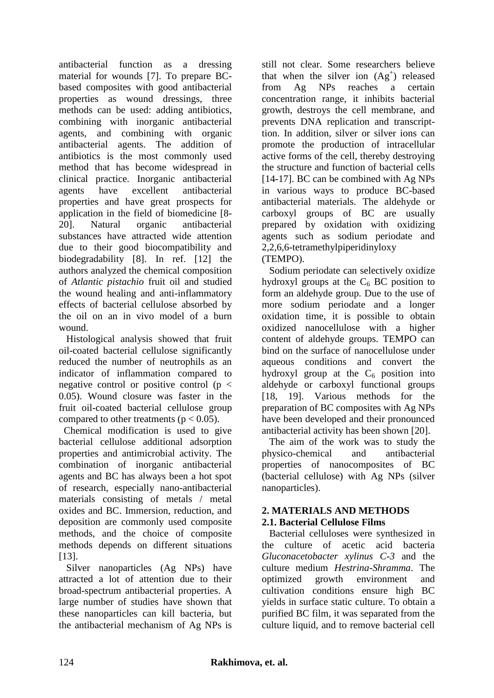antibacterial function as a dressing material for wounds [7]. To prepare BCbased composites with good antibacterial properties as wound dressings, three methods can be used: adding antibiotics, combining with inorganic antibacterial agents, and combining with organic antibacterial agents. The addition of antibiotics is the most commonly used method that has become widespread in clinical practice. Inorganic antibacterial agents have excellent antibacterial properties and have great prospects for application in the field of biomedicine [8- 20]. Natural organic antibacterial substances have attracted wide attention due to their good biocompatibility and biodegradability [8]. In ref. [12] the authors analyzed the chemical composition of *Atlantic pistachio* fruit oil and studied the wound healing and anti-inflammatory effects of bacterial cellulose absorbed by the oil on an in vivo model of a burn wound.

 Histological analysis showed that fruit oil-coated bacterial cellulose significantly reduced the number of neutrophils as an indicator of inflammation compared to negative control or positive control ( $p <$ 0.05). Wound closure was faster in the fruit oil-coated bacterial cellulose group compared to other treatments ( $p < 0.05$ ).

Chemical modification is used to give bacterial cellulose additional adsorption properties and antimicrobial activity. The combination of inorganic antibacterial agents and BC has always been a hot spot of research, especially nano-antibacterial materials consisting of metals / metal oxides and BC. Immersion, reduction, and deposition are commonly used composite methods, and the choice of composite methods depends on different situations [13].

 Silver nanoparticles (Ag NPs) have attracted a lot of attention due to their broad-spectrum antibacterial properties. A large number of studies have shown that these nanoparticles can kill bacteria, but the antibacterial mechanism of Ag NPs is

still not clear. Some researchers believe that when the silver ion  $(Ag^+)$  released from Ag NPs reaches a certain concentration range, it inhibits bacterial growth, destroys the cell membrane, and prevents DNA replication and transcripttion. In addition, silver or silver ions can promote the production of intracellular active forms of the cell, thereby destroying the structure and function of bacterial cells [14-17]. BC can be combined with Ag NPs in various ways to produce BC-based antibacterial materials. The aldehyde or carboxyl groups of BC are usually prepared by oxidation with oxidizing agents such as sodium periodate and 2,2,6,6-tetramethylpiperidinyloxy (TEMPO).

 Sodium periodate can selectively oxidize hydroxyl groups at the  $C_6$  BC position to form an aldehyde group. Due to the use of more sodium periodate and a longer oxidation time, it is possible to obtain oxidized nanocellulose with a higher content of aldehyde groups. TEMPO can bind on the surface of nanocellulose under aqueous conditions and convert the hydroxyl group at the  $C_6$  position into aldehyde or carboxyl functional groups [18, 19]. Various methods for the preparation of BC composites with Ag NPs have been developed and their pronounced antibacterial activity has been shown [20].

 The aim of the work was to study the physico-chemical and antibacterial properties of nanocomposites of BC (bacterial cellulose) with Ag NPs (silver nanoparticles).

# **2. MATERIALS AND METHODS 2.1. Bacterial Cellulose Films**

 Bacterial celluloses were synthesized in the culture of acetic acid bacteria *Gluconacetobacter xylinus C-3* and the culture medium *Hestrina-Shramma*. The optimized growth environment and cultivation conditions ensure high BC yields in surface static culture. To obtain a purified BC film, it was separated from the culture liquid, and to remove bacterial cell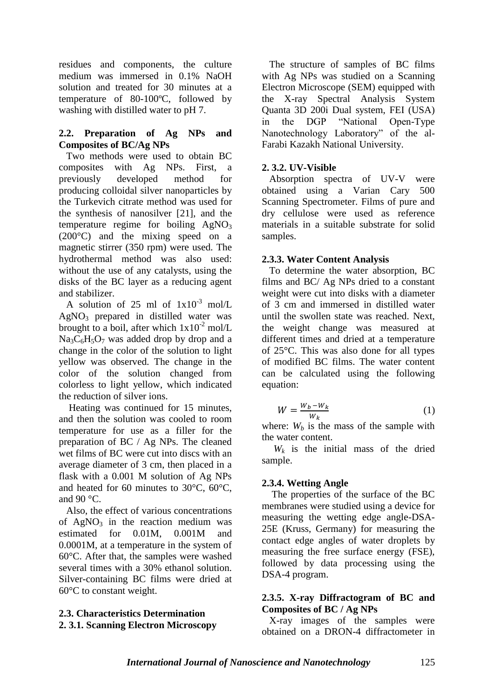residues and components, the culture medium was immersed in 0.1% NaOH solution and treated for 30 minutes at a temperature of 80-100ºC, followed by washing with distilled water to pH 7.

#### **2.2. Preparation of Ag NPs and Composites of BC/Ag NPs**

Two methods were used to obtain BC composites with Ag NPs. First, a previously developed method for producing colloidal silver nanoparticles by the Turkevich citrate method was used for the synthesis of nanosilver [21], and the temperature regime for boiling  $AgNO<sub>3</sub>$ (200°C) and the mixing speed on a magnetic stirrer (350 rpm) were used. The hydrothermal method was also used: without the use of any catalysts, using the disks of the BC layer as a reducing agent and stabilizer.

A solution of 25 ml of  $1x10^{-3}$  mol/L  $AgNO<sub>3</sub>$  prepared in distilled water was brought to a boil, after which  $1x10^{-2}$  mol/L  $Na_3C_6H_5O_7$  was added drop by drop and a change in the color of the solution to light yellow was observed. The change in the color of the solution changed from colorless to light yellow, which indicated the reduction of silver ions.

 Heating was continued for 15 minutes, and then the solution was cooled to room temperature for use as a filler for the preparation of BC / Ag NPs. The cleaned wet films of BC were cut into discs with an average diameter of 3 cm, then placed in a flask with a 0.001 M solution of Ag NPs and heated for 60 minutes to 30°C, 60°C, and  $90 °C$ .

 Also, the effect of various concentrations of  $AgNO<sub>3</sub>$  in the reaction medium was estimated for 0.01M, 0.001M and 0.0001M, at a temperature in the system of 60°C. After that, the samples were washed several times with a 30% ethanol solution. Silver-containing BC films were dried at 60°C to constant weight.

# **2.3. Characteristics Determination**

# **2. 3.1. Scanning Electron Microscopy**

 The structure of samples of BC films with Ag NPs was studied on a Scanning Electron Microscope (SEM) equipped with the X-ray Spectral Analysis System Quanta 3D 200i Dual system, FEI (USA) in the DGP "National Open-Type Nanotechnology Laboratory" of the al-Farabi Kazakh National University.

## **2. 3.2. UV-Visible**

 Absorption spectra of UV-V were obtained using a Varian Cary 500 Scanning Spectrometer. Films of pure and dry cellulose were used as reference materials in a suitable substrate for solid samples.

## **2.3.3. Water Content Analysis**

 To determine the water absorption, BC films and BC/ Ag NPs dried to a constant weight were cut into disks with a diameter of 3 cm and immersed in distilled water until the swollen state was reached. Next, the weight change was measured at different times and dried at a temperature of 25°C. This was also done for all types of modified BC films. The water content can be calculated using the following equation:

$$
W = \frac{W_b - W_k}{W_k} \tag{1}
$$

where:  $W_b$  is the mass of the sample with the water content.

*W<sup>k</sup>* is the initial mass of the dried sample.

## **2.3.4. Wetting Angle**

 The properties of the surface of the BC membranes were studied using a device for measuring the wetting edge angle-DSA-25E (Kruss, Germany) for measuring the contact edge angles of water droplets by measuring the free surface energy (FSE), followed by data processing using the DSA-4 program.

## **2.3.5. X-ray Diffractogram of BC and Composites of BC / Ag NPs**

 X-ray images of the samples were obtained on a DRON-4 diffractometer in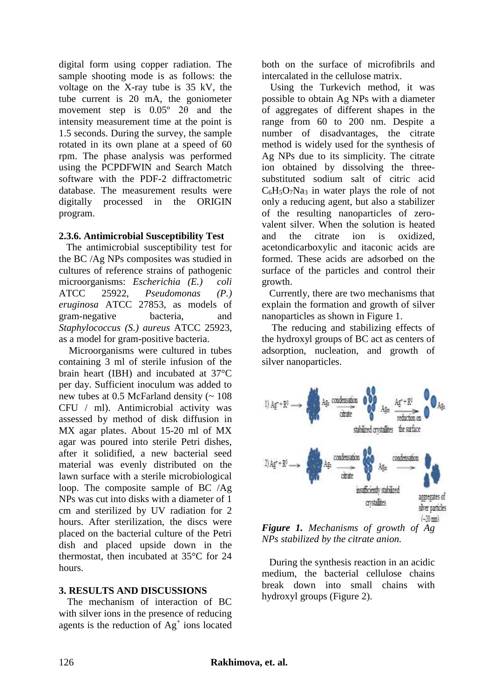digital form using copper radiation. The sample shooting mode is as follows: the voltage on the X-ray tube is 35 kV, the tube current is 20 mA, the goniometer movement step is 0.05º 2θ and the intensity measurement time at the point is 1.5 seconds. During the survey, the sample rotated in its own plane at a speed of 60 rpm. The phase analysis was performed using the PCPDFWIN and Search Match software with the PDF-2 diffractometric database. The measurement results were digitally processed in the ORIGIN program.

#### **2.3.6. Antimicrobial Susceptibility Test**

 The antimicrobial susceptibility test for the BC /Ag NPs composites was studied in cultures of reference strains of pathogenic microorganisms: *Escherichia (E.) coli*  ATCC 25922, *Pseudomonas (P.) eruginosa* ATCC 27853, as models of gram-negative bacteria, and *Staphylococcus (S.) aureus* ATCC 25923, as a model for gram-positive bacteria.

 Microorganisms were cultured in tubes containing 3 ml of sterile infusion of the brain heart (IBH) and incubated at 37°C per day. Sufficient inoculum was added to new tubes at  $0.5$  McFarland density ( $\sim 108$ ) CFU / ml). Antimicrobial activity was assessed by method of disk diffusion in MX agar plates. About 15-20 ml of MX agar was poured into sterile Petri dishes, after it solidified, a new bacterial seed material was evenly distributed on the lawn surface with a sterile microbiological loop. The composite sample of BC /Ag NPs was cut into disks with a diameter of 1 cm and sterilized by UV radiation for 2 hours. After sterilization, the discs were placed on the bacterial culture of the Petri dish and placed upside down in the thermostat, then incubated at 35°C for 24 hours.

## **3. RESULTS AND DISCUSSIONS**

The mechanism of interaction of BC with silver ions in the presence of reducing agents is the reduction of  $Ag<sup>+</sup>$  ions located both on the surface of microfibrils and intercalated in the cellulose matrix.

Using the Turkevich method, it was possible to obtain Ag NPs with a diameter of aggregates of different shapes in the range from 60 to 200 nm. Despite a number of disadvantages, the citrate method is widely used for the synthesis of Ag NPs due to its simplicity. The citrate ion obtained by dissolving the threesubstituted sodium salt of citric acid  $C_6H_5O_7Na_3$  in water plays the role of not only a reducing agent, but also a stabilizer of the resulting nanoparticles of zerovalent silver. When the solution is heated and the citrate ion is oxidized, acetondicarboxylic and itaconic acids are formed. These acids are adsorbed on the surface of the particles and control their growth.

 Currently, there are two mechanisms that explain the formation and growth of silver nanoparticles as shown in Figure 1.

 The reducing and stabilizing effects of the hydroxyl groups of BC act as centers of adsorption, nucleation, and growth of silver nanoparticles.



*Figure 1. Mechanisms of growth of Ag NPs stabilized by the citrate anion.*

 During the synthesis reaction in an acidic medium, the bacterial cellulose chains break down into small chains with hydroxyl groups (Figure 2).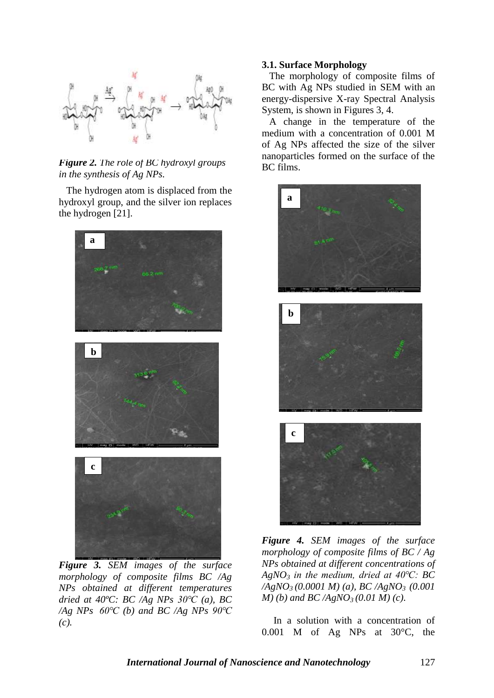

*Figure 2. The role of BC hydroxyl groups in the synthesis of Ag NPs.*

 The hydrogen atom is displaced from the hydroxyl group, and the silver ion replaces the hydrogen [21].



*Figure 3. SEM images of the surface morphology of composite films BC /Ag NPs obtained at different temperatures dried at 40ºC: BC /Ag NPs 30℃ (a), BC /Ag NPs 60℃ (b) and BC /Ag NPs 90℃ (c).*

#### **3.1. Surface Morphology**

 The morphology of composite films of BC with Ag NPs studied in SEM with an energy-dispersive X-ray Spectral Analysis System, is shown in Figures 3, 4.

 A change in the temperature of the medium with a concentration of 0.001 M of Ag NPs affected the size of the silver nanoparticles formed on the surface of the BC films.



*Figure 4. SEM images of the surface morphology of composite films of BC / Ag NPs obtained at different concentrations of AgNO<sup>3</sup> in the medium, dried at 40℃: BC /AgNO3 (0.0001 M) (a), BC /AgNO3 (0.001 M) (b) and BC /AgNO3 (0.01 M) (c).*

In a solution with a concentration of 0.001 M of Ag NPs at 30°C, the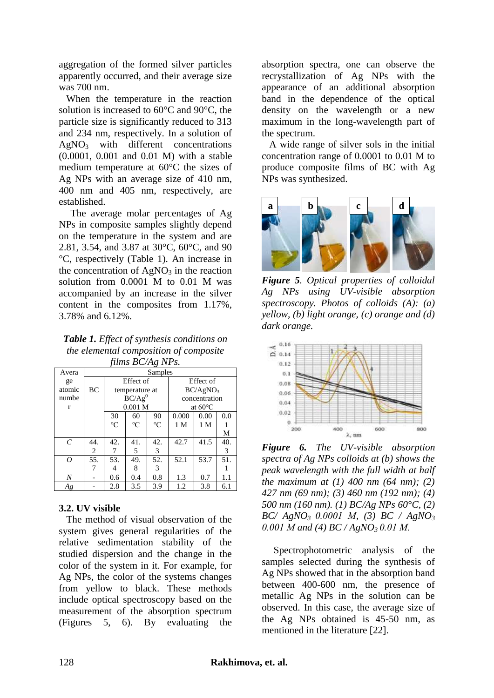aggregation of the formed silver particles apparently occurred, and their average size was 700 nm.

 When the temperature in the reaction solution is increased to 60°C and 90°C, the particle size is significantly reduced to 313 and 234 nm, respectively. In a solution of  $AgNO<sub>3</sub>$  with different concentrations (0.0001, 0.001 and 0.01 M) with a stable medium temperature at 60°C the sizes of Ag NPs with an average size of 410 nm, 400 nm and 405 nm, respectively, are established.

The average molar percentages of Ag NPs in composite samples slightly depend on the temperature in the system and are 2.81, 3.54, and 3.87 at 30°C, 60°C, and 90 °C, respectively (Table 1). An increase in the concentration of  $AgNO<sub>3</sub>$  in the reaction solution from 0.0001 M to 0.01 M was accompanied by an increase in the silver content in the composites from 1.17%, 3.78% and 6.12%.

*Table 1. Effect of synthesis conditions on the elemental composition of composite films BC/Ag NPs.*

| $\sim$ , $\sim$ , $\sim$ , $\sim$ , $\sim$ , $\sim$ , $\sim$ , $\sim$ , $\sim$ , $\sim$ , $\sim$ , $\sim$ , $\sim$ , $\sim$ , $\sim$ , $\sim$ , $\sim$ , $\sim$ , $\sim$ , $\sim$ , $\sim$ , $\sim$ , $\sim$ , $\sim$ , $\sim$ , $\sim$ , $\sim$ , $\sim$ , $\sim$ , $\sim$ , $\sim$ , $\sim$ , $\sim$ , $\sim$ , $\sim$ , $\sim$ , $\sim$ , |         |                      |                 |                 |                      |      |     |
|----------------------------------------------------------------------------------------------------------------------------------------------------------------------------------------------------------------------------------------------------------------------------------------------------------------------------------------------|---------|----------------------|-----------------|-----------------|----------------------|------|-----|
| Avera                                                                                                                                                                                                                                                                                                                                        | Samples |                      |                 |                 |                      |      |     |
| ge                                                                                                                                                                                                                                                                                                                                           |         | Effect of            |                 |                 | Effect of            |      |     |
| atomic                                                                                                                                                                                                                                                                                                                                       | BC      | temperature at       |                 |                 | BC/AgNO <sub>3</sub> |      |     |
| numbe                                                                                                                                                                                                                                                                                                                                        |         | $\overline{BC/Ag}^0$ |                 |                 | concentration        |      |     |
| r                                                                                                                                                                                                                                                                                                                                            |         | $0.001$ M            |                 |                 | at $60^{\circ}$ C    |      |     |
|                                                                                                                                                                                                                                                                                                                                              |         | 30                   | 60              | 90              | 0.000                | 0.00 | 0.0 |
|                                                                                                                                                                                                                                                                                                                                              |         | $\rm ^{\circ}C$      | $\rm ^{\circ}C$ | $\rm ^{\circ}C$ | 1 M                  | 1 M  |     |
|                                                                                                                                                                                                                                                                                                                                              |         |                      |                 |                 |                      |      | М   |
| $\mathcal{C}_{0}^{0}$                                                                                                                                                                                                                                                                                                                        | 44.     | 42.                  | 41.             | 42.             | 42.7                 | 41.5 | 40. |
|                                                                                                                                                                                                                                                                                                                                              | 2       | 7                    | 5               | 3               |                      |      | 3   |
| 0                                                                                                                                                                                                                                                                                                                                            | 55.     | 53.                  | 49.             | 52.             | 52.1                 | 53.7 | 51. |
|                                                                                                                                                                                                                                                                                                                                              | 7       | 4                    | 8               | 3               |                      |      |     |
| Ν                                                                                                                                                                                                                                                                                                                                            |         | 0.6                  | 0.4             | 0.8             | 1.3                  | 0.7  | 1.1 |
| Ag                                                                                                                                                                                                                                                                                                                                           |         | 2.8                  | 3.5             | 3.9             | 1.2                  | 3.8  | 6.1 |

## **3.2. UV visible**

 The method of visual observation of the system gives general regularities of the relative sedimentation stability of the studied dispersion and the change in the color of the system in it. For example, for Ag NPs, the color of the systems changes from yellow to black. These methods include optical spectroscopy based on the measurement of the absorption spectrum (Figures 5, 6). By evaluating the

absorption spectra, one can observe the recrystallization of Ag NPs with the appearance of an additional absorption band in the dependence of the optical density on the wavelength or a new maximum in the long-wavelength part of the spectrum.

 A wide range of silver sols in the initial concentration range of 0.0001 to 0.01 M to produce composite films of BC with Ag NPs was synthesized.



*Figure 5. Optical properties of colloidal Ag NPs using UV-visible absorption spectroscopy. Photos of colloids (A): (a) yellow, (b) light orange, (c) orange and (d) dark orange.*



*Figure 6. The UV-visible absorption spectra of Ag NPs colloids at (b) shows the peak wavelength with the full width at half the maximum at (1) 400 nm (64 nm); (2) 427 nm (69 nm); (3) 460 nm (192 nm); (4) 500 nm (160 nm). (1) BC/Ag NPs 60°C, (2) BC/ AgNO3 0.0001 М, (3) BC / AgNO<sup>3</sup> 0.001 М and (4) BC / AgNO3 0.01 М.*

Spectrophotometric analysis of the samples selected during the synthesis of Ag NPs showed that in the absorption band between 400-600 nm, the presence of metallic Ag NPs in the solution can be observed. In this case, the average size of the Ag NPs obtained is 45-50 nm, as mentioned in the literature [22].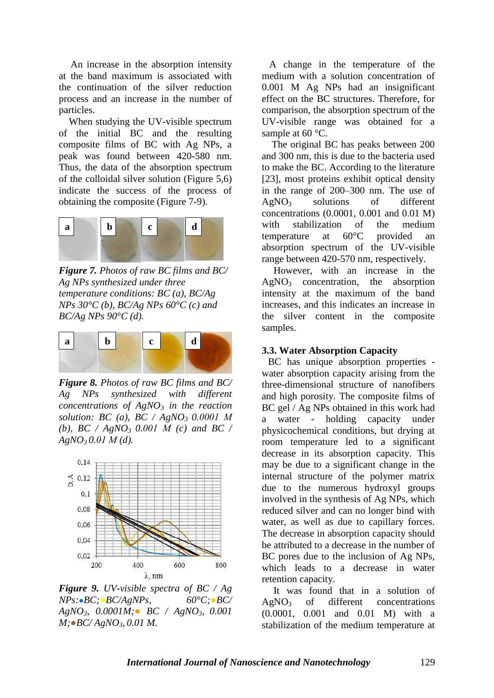An increase in the absorption intensity at the band maximum is associated with the continuation of the silver reduction process and an increase in the number of particles.

 When studying the UV-visible spectrum of the initial BC and the resulting composite films of BC with Ag NPs, a peak was found between 420-580 nm. Thus, the data of the absorption spectrum of the colloidal silver solution (Figure 5,6) indicate the success of the process of obtaining the composite (Figure 7-9).



*Figure 7. Photos of raw BC films and BC/ Ag NPs synthesized under three temperature conditions: BC (a), BC/Ag NPs 30°C (b), BC/Ag NPs 60°C (c) and BC/Ag NPs 90°C (d).*



*Figure 8. Photos of raw BC films and BC/ Ag NPs synthesized with different concentrations of AgNO<sup>3</sup> in the reaction solution: BC (a), BC / AgNO<sup>3</sup> 0.0001 М (b), BC / AgNO<sup>3</sup> 0.001 М (c) and BC / AgNO<sup>3</sup> 0.01 М (d).*



*Figure 9. UV-visible spectra of BC / Ag NPs:●BC;●BC/AgNPs, 60°C;●BC/ AgNO3, 0.0001M;● BC / AgNO3, 0.001 M;●BC/ AgNO3, 0.01 M.*

 A change in the temperature of the medium with a solution concentration of 0.001 M Ag NPs had an insignificant effect on the BC structures. Therefore, for comparison, the absorption spectrum of the UV-visible range was obtained for a sample at 60 °C.

 The original BC has peaks between 200 and 300 nm, this is due to the bacteria used to make the BC. According to the literature [23], most proteins exhibit optical density in the range of 200–300 nm. The use of  $AgNO<sub>3</sub>$  solutions of different concentrations (0.0001, 0.001 and 0.01 M) with stabilization of the medium temperature at 60°C provided an absorption spectrum of the UV-visible range between 420-570 nm, respectively.

However, with an increase in the  $AgNO<sub>3</sub>$  concentration, the absorption intensity at the maximum of the band increases, and this indicates an increase in the silver content in the composite samples.

#### **3.3. Water Absorption Capacity**

 BC has unique absorption properties water absorption capacity arising from the three-dimensional structure of nanofibers and high porosity. The composite films of BC gel / Ag NPs obtained in this work had a water - holding capacity under physicochemical conditions, but drying at room temperature led to a significant decrease in its absorption capacity. This may be due to a significant change in the internal structure of the polymer matrix due to the numerous hydroxyl groups involved in the synthesis of Ag NPs, which reduced silver and can no longer bind with water, as well as due to capillary forces. The decrease in absorption capacity should be attributed to a decrease in the number of BC pores due to the inclusion of Ag NPs, which leads to a decrease in water retention capacity.

It was found that in a solution of  $AgNO<sub>3</sub>$  of different concentrations (0.0001, 0.001 and 0.01 M) with a stabilization of the medium temperature at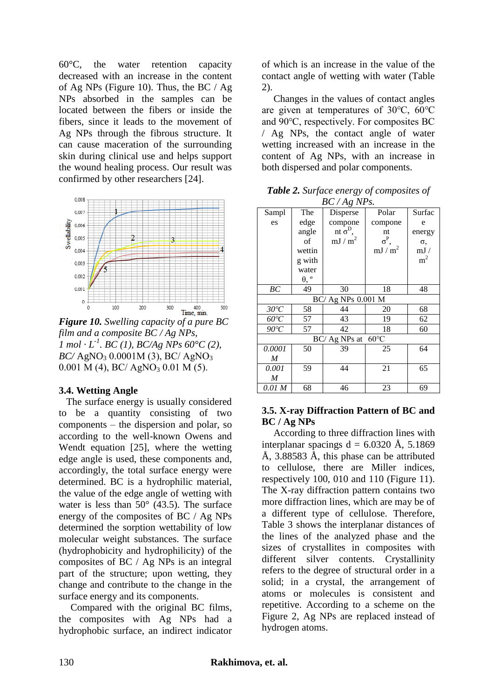60°C, the water retention capacity decreased with an increase in the content of Ag NPs (Figure 10). Thus, the BC  $/$  Ag NPs absorbed in the samples can be located between the fibers or inside the fibers, since it leads to the movement of Ag NPs through the fibrous structure. It can cause maceration of the surrounding skin during clinical use and helps support the wound healing process. Our result was confirmed by other researchers [24].



*Figure 10. Swelling capacity of a pure BC film and a composite BC / Ag NPs, 1 mol*  $\cdot$  *L*<sup>-1</sup>. *BC* (*1*), *BC*/*Ag NPs 60*°*C* (2), *BC/* AgNO<sub>3</sub> 0.0001M (3), *BC/* AgNO<sub>3</sub>  $0.001$  M (4), BC/ AgNO<sub>3</sub> 0.01 M (5).

## **3.4. Wetting Angle**

The surface energy is usually considered to be a quantity consisting of two components – the dispersion and polar, so according to the well-known Owens and Wendt equation [25], where the wetting edge angle is used, these components and, accordingly, the total surface energy were determined. BC is a hydrophilic material, the value of the edge angle of wetting with water is less than  $50^{\circ}$  (43.5). The surface energy of the composites of BC / Ag NPs determined the sorption wettability of low molecular weight substances. The surface (hydrophobicity and hydrophilicity) of the composites of BC / Ag NPs is an integral part of the structure; upon wetting, they change and contribute to the change in the surface energy and its components.

Compared with the original BC films, the composites with Ag NPs had a hydrophobic surface, an indirect indicator

of which is an increase in the value of the contact angle of wetting with water (Table 2).

Changes in the values of contact angles are given at temperatures of 30℃, 60℃ and 90℃, respectively. For composites BC / Ag NPs, the contact angle of water wetting increased with an increase in the content of Ag NPs, with an increase in both dispersed and polar components.

*Table 2. Surface energy of composites of*   $B C / A g N D_S$ 

| $D \cup \wedge A \times I \vee I \vee$ . |                    |                   |                   |                |  |  |  |  |
|------------------------------------------|--------------------|-------------------|-------------------|----------------|--|--|--|--|
| Sampl                                    | The                | Disperse          | Polar             | Surfac         |  |  |  |  |
| es                                       | edge               | compone           | compone           | e              |  |  |  |  |
|                                          | angle              | nt $\sigma^D$ ,   | nt                | energy         |  |  |  |  |
|                                          | of                 | mJ/m <sup>2</sup> | $\sigma^P$ ,      | σ,             |  |  |  |  |
|                                          | wettin             |                   | mJ/m <sup>2</sup> | mJ /           |  |  |  |  |
|                                          | g with             |                   |                   | m <sup>2</sup> |  |  |  |  |
|                                          | water              |                   |                   |                |  |  |  |  |
|                                          | $\theta$ , $\circ$ |                   |                   |                |  |  |  |  |
| BC                                       | 49                 | 30                | 18                | 48             |  |  |  |  |
| BC/ Ag NPs 0.001 M                       |                    |                   |                   |                |  |  |  |  |
| $30^{\circ}C$                            | 58                 | 44                | 20                | 68             |  |  |  |  |
| $60^{\circ}C$                            | 57                 | 43                | 19                | 62             |  |  |  |  |
| $90^{\circ}C$                            | 57                 | 42                | 18                | 60             |  |  |  |  |
| $60^{\circ}$ C<br>BC/ Ag NPs at          |                    |                   |                   |                |  |  |  |  |
| 0.0001                                   | 50                 | 39                | 25                | 64             |  |  |  |  |
| M                                        |                    |                   |                   |                |  |  |  |  |
| 0.001                                    | 59                 | 44                | 21                | 65             |  |  |  |  |
| M                                        |                    |                   |                   |                |  |  |  |  |
| 0.01 M                                   | 68                 | 46                | 23                | 69             |  |  |  |  |

#### **3.5. X-ray Diffraction Pattern of BC and BC / Ag NPs**

According to three diffraction lines with interplanar spacings  $d = 6.0320$  Å, 5.1869 Å, 3.88583 Å, this phase can be attributed to cellulose, there are Miller indices, respectively 100, 010 and 110 (Figure 11). The X-ray diffraction pattern contains two more diffraction lines, which are may be of a different type of cellulose. Therefore, Table 3 shows the interplanar distances of the lines of the analyzed phase and the sizes of crystallites in composites with different silver contents. Crystallinity refers to the degree of structural order in a solid; in a crystal, the arrangement of atoms or molecules is consistent and repetitive. According to a scheme on the Figure 2, Ag NPs are replaced instead of hydrogen atoms.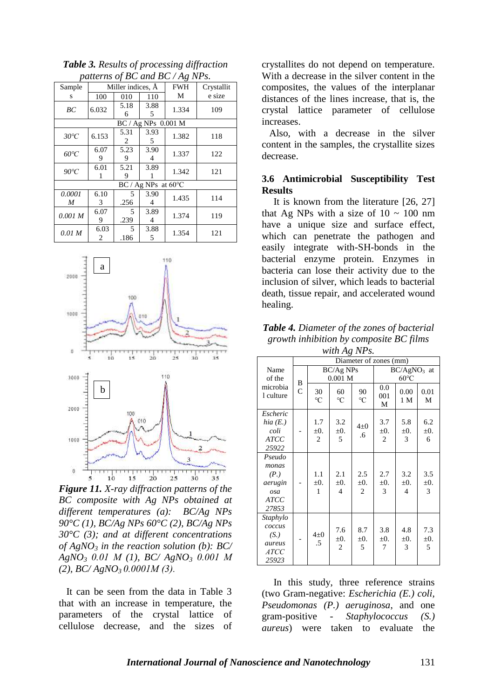|                       |           |                   |           | $p$ and $q$ be and be $\frac{1}{4}$ by $\frac{1}{2}$ . |            |  |  |
|-----------------------|-----------|-------------------|-----------|--------------------------------------------------------|------------|--|--|
| Sample                |           | Miller indices, A |           | <b>FWH</b>                                             | Crystallit |  |  |
| S                     | 100       | 010               | 110       | М                                                      | e size     |  |  |
| BC                    | 6.032     | 5.18<br>6         | 3.88<br>5 | 1.334                                                  | 109        |  |  |
| BC / Ag NPs 0.001 M   |           |                   |           |                                                        |            |  |  |
| $30^{\circ}C$         | 6.153     | 5.31<br>2         | 3.93<br>5 | 1.382                                                  | 118        |  |  |
| $60^{\circ}C$         | 6.07<br>9 | 5.23<br>9         | 3.90<br>4 | 1.337                                                  | 122        |  |  |
| $90^{\circ}C$         | 6.01      | 5.21<br>9         | 3.89      | 1.342                                                  | 121        |  |  |
| $BC / Ag NPs$ at 60°C |           |                   |           |                                                        |            |  |  |
| 0.0001<br>M           | 6.10<br>3 | 5<br>.256         | 3.90<br>4 | 1.435                                                  | 114        |  |  |
| 0.001 M               | 6.07<br>9 | 5<br>.239         | 3.89<br>4 | 1.374                                                  | 119        |  |  |
| 0.01 M                | 6.03<br>2 | 5<br>.186         | 3.88<br>5 | 1.354                                                  | 121        |  |  |

*Table 3. Results of processing diffraction patterns of BC and BC / Ag NPs.*



*Figure 11. X-ray diffraction patterns of the BC composite with Ag NPs obtained at different temperatures (a): BC/Ag NPs 90°C (1), BC/Ag NPs 60°C (2), BC/Ag NPs 30°C (3); and at different concentrations of AgNO<sup>3</sup> in the reaction solution (b): BC/ AgNO<sup>3</sup> 0.01 М (1), BC/ AgNO<sup>3</sup> 0.001 М (2), BC/ AgNO3 0.0001М (3).*

It can be seen from the data in Table 3 that with an increase in temperature, the parameters of the crystal lattice of cellulose decrease, and the sizes of crystallites do not depend on temperature. With a decrease in the silver content in the composites, the values of the interplanar distances of the lines increase, that is, the crystal lattice parameter of cellulose increases.

Also, with a decrease in the silver content in the samples, the crystallite sizes decrease.

#### **3.6 Antimicrobial Susceptibility Test Results**

It is known from the literature [26, 27] that Ag NPs with a size of  $10 \sim 100$  nm have a unique size and surface effect, which can penetrate the pathogen and easily integrate with-SH-bonds in the bacterial enzyme protein. Enzymes in bacteria can lose their activity due to the inclusion of silver, which leads to bacterial death, tissue repair, and accelerated wound healing.

*Table 4. Diameter of the zones of bacterial growth inhibition by composite BC films with Ag NPs.*

|                                                                           | Diameter of zones (mm) |                                    |                                    |                                    |                                    |                                    |                       |
|---------------------------------------------------------------------------|------------------------|------------------------------------|------------------------------------|------------------------------------|------------------------------------|------------------------------------|-----------------------|
| Name<br>of the<br>microbia<br>1 culture                                   | B<br>$\overline{C}$    | $BC/Ag$ NPs<br>0.001 <sub>M</sub>  |                                    |                                    | $BC/AgNO3$ at<br>$60^{\circ}$ C    |                                    |                       |
|                                                                           |                        | 30<br>$\rm ^{\circ}C$              | 60<br>$\rm ^{\circ}C$              | 90<br>$\rm ^{\circ}C$              | 0.0<br>001<br>М                    | 0.00<br>1 M                        | 0.01<br>М             |
| Escheric<br>hia $(E.)$<br>coli<br><b>ATCC</b><br>25922                    |                        | 1.7<br>$\pm 0$ .<br>$\overline{2}$ | 3.2<br>$\pm 0$ .<br>5              | $4\pm 0$<br>.6                     | 3.7<br>$\pm 0$ .<br>$\overline{2}$ | 5.8<br>$\pm 0$ .<br>3              | 6.2<br>$\pm 0$ .<br>6 |
| Pseudo<br>monas<br>(P.)<br>aerugin<br>osa<br><b>ATCC</b><br>27853         |                        | 1.1<br>$\pm 0$ .<br>1              | 2.1<br>$\pm 0$ .<br>$\overline{4}$ | 2.5<br>$\pm 0$ .<br>$\overline{2}$ | 2.7<br>$\pm 0$ .<br>3              | 3.2<br>$\pm 0$ .<br>$\overline{4}$ | 3.5<br>$\pm 0$ .<br>3 |
| Staphylo<br>coccus<br>(S <sub>1</sub> )<br>aureus<br><b>ATCC</b><br>25923 |                        | $4\pm 0$<br>.5                     | 7.6<br>$\pm 0$ .<br>$\overline{c}$ | 8.7<br>$\pm 0$ .<br>5              | 3.8<br>$\pm 0$ .<br>7              | 4.8<br>$\pm 0$ .<br>3              | 7.3<br>$\pm 0$ .<br>5 |

In this study, three reference strains (two Gram-negative: *Escherichia (E.) coli, Pseudomonas (P.) aeruginosa*, and one gram-positive - *Staphylococcus (S.) aureus*) were taken to evaluate the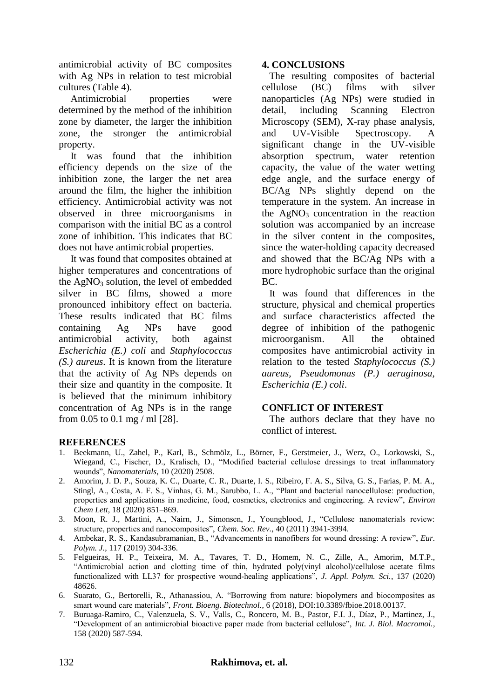antimicrobial activity of BC composites with Ag NPs in relation to test microbial cultures (Table 4).

Antimicrobial properties were determined by the method of the inhibition zone by diameter, the larger the inhibition zone, the stronger the antimicrobial property.

It was found that the inhibition efficiency depends on the size of the inhibition zone, the larger the net area around the film, the higher the inhibition efficiency. Antimicrobial activity was not observed in three microorganisms in comparison with the initial BC as a control zone of inhibition. This indicates that BC does not have antimicrobial properties.

It was found that composites obtained at higher temperatures and concentrations of the  $AgNO<sub>3</sub>$  solution, the level of embedded silver in BC films, showed a more pronounced inhibitory effect on bacteria. These results indicated that BC films containing Ag NPs have good antimicrobial activity, both against *Escherichia (E.) coli* and *Staphylococcus (S.) aureus*. It is known from the literature that the activity of Ag NPs depends on their size and quantity in the composite. It is believed that the minimum inhibitory concentration of Ag NPs is in the range from 0.05 to 0.1 mg / ml [28].

# **4. CONCLUSIONS**

 The resulting composites of bacterial cellulose (BC) films with silver nanoparticles (Ag NPs) were studied in detail, including Scanning Electron Microscopy (SEM), X-ray phase analysis, and UV-Visible Spectroscopy. A significant change in the UV-visible absorption spectrum, water retention capacity, the value of the water wetting edge angle, and the surface energy of BC/Ag NPs slightly depend on the temperature in the system. An increase in the  $AgNO<sub>3</sub>$  concentration in the reaction solution was accompanied by an increase in the silver content in the composites, since the water-holding capacity decreased and showed that the BC/Ag NPs with a more hydrophobic surface than the original BC.

 It was found that differences in the structure, physical and chemical properties and surface characteristics affected the degree of inhibition of the pathogenic microorganism. All the obtained composites have antimicrobial activity in relation to the tested *Staphylococcus (S.) aureus, Pseudomonas (P.) aeruginosa, Escherichia (E.) coli*.

# **CONFLICT OF INTEREST**

 The authors declare that they have no conflict of interest.

# **REFERENCES**

- 1. Beekmann, U., Zahel, P., Karl, B., Schmölz, L., Börner, F., Gerstmeier, J., Werz, O., Lorkowski, S., Wiegand, C., Fischer, D., Kralisch, D., "Modified bacterial cellulose dressings to treat inflammatory wounds", *Nanomaterials*, 10 (2020) 2508.
- 2. Amorim, J. D. P., Souza, K. C., Duarte, C. R., Duarte, I. S., Ribeiro, F. A. S., Silva, G. S., Farias, P. M. A., Stingl, A., Costa, A. F. S., Vinhas, G. M., Sarubbo, L. A., "Plant and bacterial nanocellulose: production, properties and applications in medicine, food, cosmetics, electronics and engineering. A review", *Environ Chem Lett*, 18 (2020) 851–869.
- 3. Moon, R. J., Martini, A., Nairn, J., Simonsen, J., Youngblood, J., "Cellulose nanomaterials review: structure, properties and nanocomposites", *Chem. Soc. Rev.*, 40 (2011) 3941-3994.
- 4. Ambekar, R. S., Kandasubramanian, B., "Advancements in nanofibers for wound dressing: A review", *Eur. Polym. J.*, 117 (2019) 304-336.
- 5. Felgueiras, H. P., Teixeira, M. A., Tavares, T. D., Homem, N. C., Zille, A., Amorim, M.T.P., "Antimicrobial action and clotting time of thin, hydrated poly(vinyl alcohol)/cellulose acetate films functionalized with LL37 for prospective wound‐healing applications", *J. Appl. Polym. Sci.*, 137 (2020) 48626.
- 6. Suarato, G., Bertorelli, R., Athanassiou, A. "Borrowing from nature: biopolymers and biocomposites as smart wound care materials", *Front. Bioeng. Biotechnol.*, 6 (2018), DOI:10.3389/fbioe.2018.00137.
- 7. Buruaga-Ramiro, C., Valenzuela, S. V., Valls, C., Roncero, M. B., Pastor, F.I. J., Díaz, P., Martinez, J., "Development of an antimicrobial bioactive paper made from bacterial cellulose", *Int. J. Biol. Macromol.*, 158 (2020) 587-594.